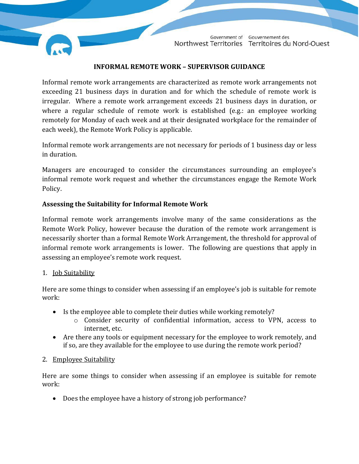

Government of Gouvernement des Northwest Territories Territoires du Nord-Ouest

## **INFORMAL REMOTE WORK – SUPERVISOR GUIDANCE**

Informal remote work arrangements are characterized as remote work arrangements not exceeding 21 business days in duration and for which the schedule of remote work is irregular. Where a remote work arrangement exceeds 21 business days in duration, or where a regular schedule of remote work is established (e.g.: an employee working remotely for Monday of each week and at their designated workplace for the remainder of each week), the Remote Work Policy is applicable.

Informal remote work arrangements are not necessary for periods of 1 business day or less in duration.

Managers are encouraged to consider the circumstances surrounding an employee's informal remote work request and whether the circumstances engage the Remote Work Policy.

## **Assessing the Suitability for Informal Remote Work**

Informal remote work arrangements involve many of the same considerations as the Remote Work Policy, however because the duration of the remote work arrangement is necessarily shorter than a formal Remote Work Arrangement, the threshold for approval of informal remote work arrangements is lower. The following are questions that apply in assessing an employee's remote work request.

## 1. Job Suitability

Here are some things to consider when assessing if an employee's job is suitable for remote work:

- Is the employee able to complete their duties while working remotely?
	- o Consider security of confidential information, access to VPN, access to internet, etc.
- Are there any tools or equipment necessary for the employee to work remotely, and if so, are they available for the employee to use during the remote work period?

## 2. Employee Suitability

Here are some things to consider when assessing if an employee is suitable for remote work:

• Does the employee have a history of strong job performance?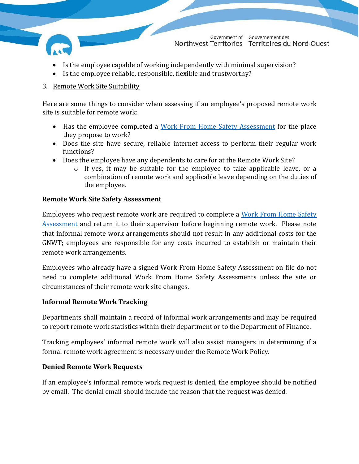

Government of Gouvernement des Northwest Territories Territoires du Nord-Ouest

- Is the employee capable of working independently with minimal supervision?
- Is the employee reliable, responsible, flexible and trustworthy?

## 3. Remote Work Site Suitability

Here are some things to consider when assessing if an employee's proposed remote work site is suitable for remote work:

- Has the employee completed a [Work From Home Safety Assessment](https://my.hr.gov.nt.ca/sites/myhr/files/Work%20from%20Home%20Safety%20Assessment%2018%20March%202020.pdf) for the place they propose to work?
- Does the site have secure, reliable internet access to perform their regular work functions?
- Does the employee have any dependents to care for at the Remote Work Site?
	- o If yes, it may be suitable for the employee to take applicable leave, or a combination of remote work and applicable leave depending on the duties of the employee.

## **Remote Work Site Safety Assessment**

Employees who request remote work are required to complete a [Work From Home Safety](https://my.hr.gov.nt.ca/sites/myhr/files/Work%20from%20Home%20Safety%20Assessment%2018%20March%202020.pdf)  [Assessment](https://my.hr.gov.nt.ca/sites/myhr/files/Work%20from%20Home%20Safety%20Assessment%2018%20March%202020.pdf) and return it to their supervisor before beginning remote work. Please note that informal remote work arrangements should not result in any additional costs for the GNWT; employees are responsible for any costs incurred to establish or maintain their remote work arrangements.

Employees who already have a signed Work From Home Safety Assessment on file do not need to complete additional Work From Home Safety Assessments unless the site or circumstances of their remote work site changes.

## **Informal Remote Work Tracking**

Departments shall maintain a record of informal work arrangements and may be required to report remote work statistics within their department or to the Department of Finance.

Tracking employees' informal remote work will also assist managers in determining if a formal remote work agreement is necessary under the Remote Work Policy.

## **Denied Remote Work Requests**

If an employee's informal remote work request is denied, the employee should be notified by email. The denial email should include the reason that the request was denied.